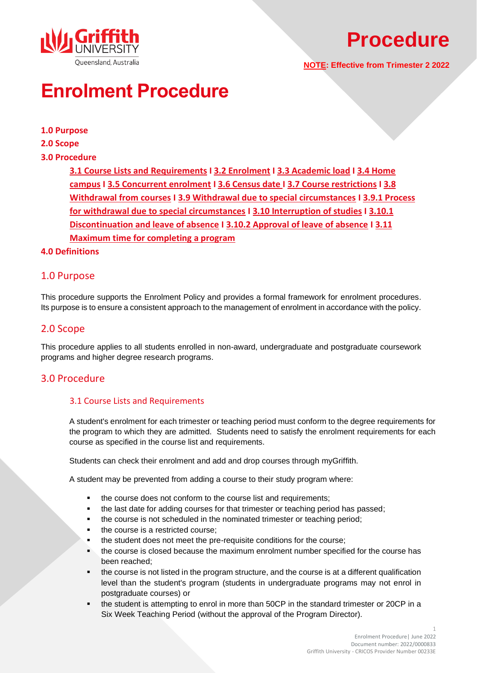

# **Procedure**

**NOTE: Effective from Trimester 2 2022**

# **Enrolment Procedure**

## **[1.0 Purpose](#page-0-0)**

**[2.0 Scope](#page-0-1)**

## **[3.0 Procedure](#page-0-2)**

**3.1 [Course Lists and Requirements](#page-0-3) I [3.2 Enrolment](#page-1-0) I [3.3 Academic load](#page-1-1) [I 3.4 Home](#page-1-2)  [campus](#page-1-2) I [3.5 Concurrent enrolment](#page-1-3) I [3.6 Census date](#page-2-0) [I 3.7 Course restrictions](#page-2-1) [I 3.8](#page-2-2)  [Withdrawal from courses](#page-2-2) I [3.9 Withdrawal due to special circumstances](#page-2-3) I 3.9.1 [Process](#page-3-0)  [for withdrawal due to special circumstances](#page-3-0) I 3.10 [Interruption of studies](#page-3-1) I [3.10.1](#page-3-2)  [Discontinuation and leave of absence](#page-3-2) I [3.10.2 Approval of leave of absence](#page-4-0) I [3.11](#page-4-1) [Maximum time for completing a program](#page-4-1)**

### <span id="page-0-0"></span>**[4.0 Definitions](#page-5-0)**

# 1.0 Purpose

<span id="page-0-1"></span>This procedure supports the Enrolment Policy and provides a formal framework for enrolment procedures. Its purpose is to ensure a consistent approach to the management of enrolment in accordance with the policy.

# 2.0 Scope

This procedure applies to all students enrolled in non-award, undergraduate and postgraduate coursework programs and higher degree research programs.

# <span id="page-0-3"></span><span id="page-0-2"></span>3.0 Procedure

## 3.1 Course Lists and Requirements

A student's enrolment for each trimester or teaching period must conform to the degree requirements for the program to which they are admitted. Students need to satisfy the enrolment requirements for each course as specified in the course list and requirements.

Students can check their enrolment and add and drop courses through [myGriffith.](https://my.griffith.edu.au/)

A student may be prevented from adding a course to their study program where:

- the course does not conform to the course list and requirements;
- the last date for adding courses for that trimester or teaching period has passed;
- the course is not scheduled in the nominated trimester or teaching period;
- the course is a restricted course;
- the student does not meet the pre-requisite conditions for the course;
- the course is closed because the maximum enrolment number specified for the course has been reached;
- the course is not listed in the program structure, and the course is at a different qualification level than the student's program (students in undergraduate programs may not enrol in postgraduate courses) or
- the student is attempting to enrol in more than 50CP in the standard trimester or 20CP in a Six Week Teaching Period (without the approval of the Program Director).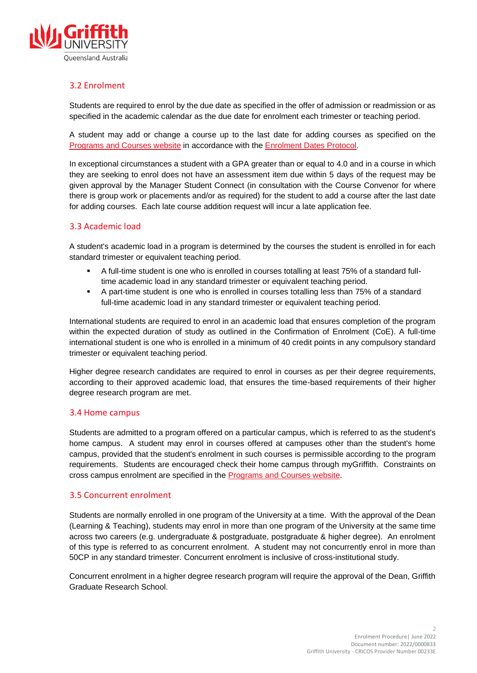

## <span id="page-1-0"></span>3.2 Enrolment

Students are required to enrol by the due date as specified in the offer of admission or readmission or as specified in the academic calendar as the due date for enrolment each trimester or teaching period.

A student may add or change a course up to the last date for adding courses as specified on the [Programs and Courses website](https://www148.griffith.edu.au/programs-courses/) in accordance with the [Enrolment Dates Protocol.](https://sharepointpubstor.blob.core.windows.net/policylibrary-prod/Enrolment%20Dates%20Protocol.pdf)

In exceptional circumstances a student with a GPA greater than or equal to 4.0 and in a course in which they are seeking to enrol does not have an assessment item due within 5 days of the request may be given approval by the Manager Student Connect (in consultation with the Course Convenor for where there is group work or placements and/or as required) for the student to add a course after the last date for adding courses. Each late course addition request will incur a late application fee.

## <span id="page-1-1"></span>3.3 Academic load

A student's academic load in a program is determined by the courses the student is enrolled in for each standard trimester or equivalent teaching period.

- A full-time student is one who is enrolled in courses totalling at least 75% of a standard fulltime academic load in any standard trimester or equivalent teaching period.
- A part-time student is one who is enrolled in courses totalling less than 75% of a standard full-time academic load in any standard trimester or equivalent teaching period.

International students are required to enrol in an academic load that ensures completion of the program within the expected duration of study as outlined in the Confirmation of Enrolment (CoE). A full-time international student is one who is enrolled in a minimum of 40 credit points in any compulsory standard trimester or equivalent teaching period.

Higher degree research candidates are required to enrol in courses as per their degree requirements, according to their approved academic load, that ensures the time-based requirements of their higher degree research program are met.

#### <span id="page-1-2"></span>3.4 Home campus

Students are admitted to a program offered on a particular campus, which is referred to as the student's home campus. A student may enrol in courses offered at campuses other than the student's home campus, provided that the student's enrolment in such courses is permissible according to the program requirements. Students are encouraged check their home campus through [myGriffith.](https://my.griffith.edu.au/) Constraints on cross campus enrolment are specified in the **Programs and Courses website**.

#### <span id="page-1-3"></span>3.5 Concurrent enrolment

Students are normally enrolled in one program of the University at a time. With the approval of the Dean (Learning & Teaching), students may enrol in more than one program of the University at the same time across two careers (e.g. undergraduate & postgraduate, postgraduate & higher degree). An enrolment of this type is referred to as concurrent enrolment. A student may not concurrently enrol in more than 50CP in any standard trimester. Concurrent enrolment is inclusive of cross-institutional study.

Concurrent enrolment in a higher degree research program will require the approval of the Dean, Griffith Graduate Research School.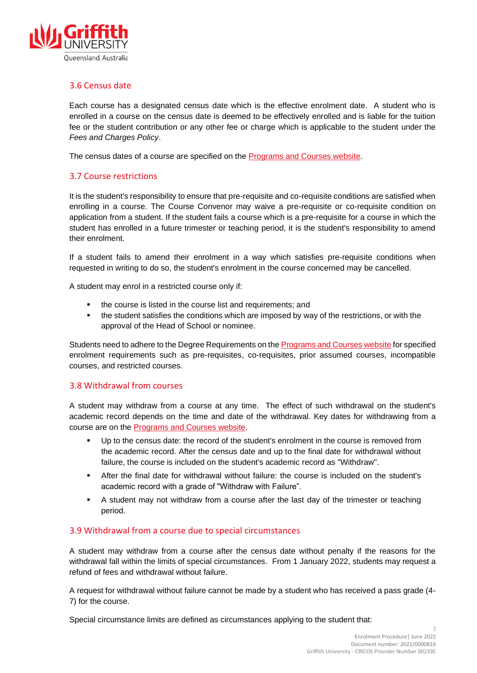

# <span id="page-2-0"></span>3.6 Census date

Each course has a designated census date which is the effective enrolment date. A student who is enrolled in a course on the census date is deemed to be effectively enrolled and is liable for the tuition fee or the student contribution or any other fee or charge which is applicable to the student under the *Fees and Charges Policy*.

The census dates of a course are specified on the **Programs and Courses website**.

## <span id="page-2-1"></span>3.7 Course restrictions

It is the student's responsibility to ensure that pre-requisite and co-requisite conditions are satisfied when enrolling in a course. The Course Convenor may waive a pre-requisite or co-requisite condition on application from a student. If the student fails a course which is a pre-requisite for a course in which the student has enrolled in a future trimester or teaching period, it is the student's responsibility to amend their enrolment.

If a student fails to amend their enrolment in a way which satisfies pre-requisite conditions when requested in writing to do so, the student's enrolment in the course concerned may be cancelled.

A student may enrol in a restricted course only if:

- the course is listed in the course list and requirements; and
- **•** the student satisfies the conditions which are imposed by way of the restrictions, or with the approval of the Head of School or nominee.

Students need to adhere to the Degree Requirements on the [Programs and Courses](https://www148.griffith.edu.au/programs-courses/) website for specified enrolment requirements such as pre-requisites, co-requisites, prior assumed courses, incompatible courses, and restricted courses.

#### <span id="page-2-2"></span>3.8 Withdrawal from courses

A student may withdraw from a course at any time. The effect of such withdrawal on the student's academic record depends on the time and date of the withdrawal. Key dates for withdrawing from a course are on the [Programs and Courses website.](https://www148.griffith.edu.au/programs-courses/)

- Up to the census date: the record of the student's enrolment in the course is removed from the academic record. After the census date and up to the final date for withdrawal without failure, the course is included on the student's academic record as "Withdraw".
- After the final date for withdrawal without failure: the course is included on the student's academic record with a grade of "Withdraw with Failure".
- A student may not withdraw from a course after the last day of the trimester or teaching period.

## <span id="page-2-3"></span>3.9 Withdrawal from a course due to special circumstances

A student may withdraw from a course after the census date without penalty if the reasons for the withdrawal fall within the limits of special circumstances. From 1 January 2022, students may request a refund of fees and withdrawal without failure.

A request for withdrawal without failure cannot be made by a student who has received a pass grade (4- 7) for the course.

Special circumstance limits are defined as circumstances applying to the student that: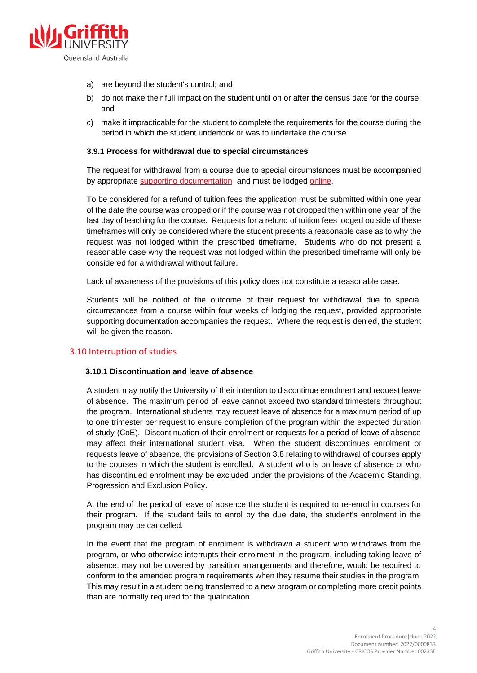

- a) are beyond the student's control; and
- b) do not make their full impact on the student until on or after the census date for the course; and
- c) make it impracticable for the student to complete the requirements for the course during the period in which the student undertook or was to undertake the course.

#### <span id="page-3-0"></span>**3.9.1 Process for withdrawal due to special circumstances**

The request for withdrawal from a course due to special circumstances must be accompanied by appropriate [supporting documentation](https://www.griffith.edu.au/students/enrolment-timetables-fees/taking-a-break-from-study/supporting-documentation-for-withdrawal) and must be lodged [online.](https://www.griffith.edu.au/students/enrolment-timetables-fees/taking-a-break-from-study/withdrawal-due-to-special-circumstances)

To be considered for a refund of tuition fees the application must be submitted within one year of the date the course was dropped or if the course was not dropped then within one year of the last day of teaching for the course. Requests for a refund of tuition fees lodged outside of these timeframes will only be considered where the student presents a reasonable case as to why the request was not lodged within the prescribed timeframe. Students who do not present a reasonable case why the request was not lodged within the prescribed timeframe will only be considered for a withdrawal without failure.

Lack of awareness of the provisions of this policy does not constitute a reasonable case.

Students will be notified of the outcome of their request for withdrawal due to special circumstances from a course within four weeks of lodging the request, provided appropriate supporting documentation accompanies the request. Where the request is denied, the student will be given the reason.

#### <span id="page-3-2"></span><span id="page-3-1"></span>3.10 Interruption of studies

#### **3.10.1 Discontinuation and leave of absence**

A student may notify the University of their intention to discontinue enrolment and request leave of absence. The maximum period of leave cannot exceed two standard trimesters throughout the program. International students may request leave of absence for a maximum period of up to one trimester per request to ensure completion of the program within the expected duration of study (CoE). Discontinuation of their enrolment or requests for a period of leave of absence may affect their international student visa. When the student discontinues enrolment or requests leave of absence, the provisions of Section 3.8 relating to withdrawal of courses apply to the courses in which the student is enrolled. A student who is on leave of absence or who has discontinued enrolment may be excluded under the provisions of the [Academic Standing,](http://policies.griffith.edu.au/pdf/Academic%20Standing%20Policy.pdf)  [Progression and Exclusion Policy.](http://policies.griffith.edu.au/pdf/Academic%20Standing%20Policy.pdf)

At the end of the period of leave of absence the student is required to re-enrol in courses for their program. If the student fails to enrol by the due date, the student's enrolment in the program may be cancelled.

In the event that the program of enrolment is withdrawn a student who withdraws from the program, or who otherwise interrupts their enrolment in the program, including taking leave of absence, may not be covered by transition arrangements and therefore, would be required to conform to the amended program requirements when they resume their studies in the program. This may result in a student being transferred to a new program or completing more credit points than are normally required for the qualification.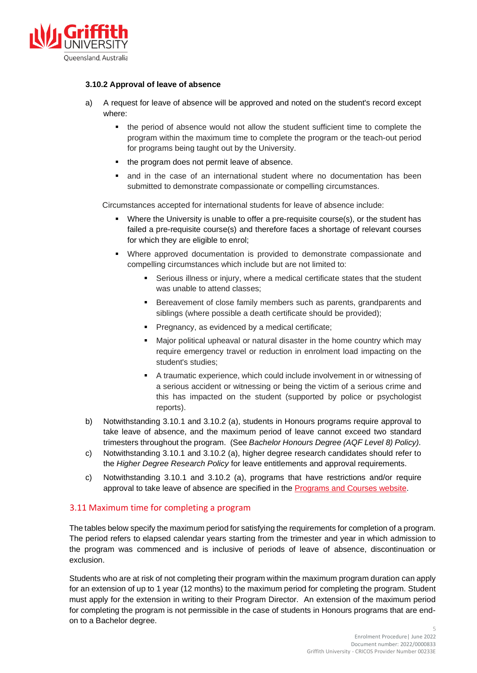

#### <span id="page-4-0"></span>**3.10.2 Approval of leave of absence**

- a) A request for leave of absence will be approved and noted on the student's record except where:
	- the period of absence would not allow the student sufficient time to complete the program within the maximum time to complete the program or the teach-out period for programs being taught out by the University.
	- the program does not permit leave of absence.
	- and in the case of an international student where no documentation has been submitted to demonstrate compassionate or compelling circumstances.

Circumstances accepted for international students for leave of absence include:

- Where the University is unable to offer a pre-requisite course(s), or the student has failed a pre-requisite course(s) and therefore faces a shortage of relevant courses for which they are eligible to enrol;
- Where approved documentation is provided to demonstrate compassionate and compelling circumstances which include but are not limited to:
	- Serious illness or injury, where a medical certificate states that the student was unable to attend classes;
	- Bereavement of close family members such as parents, grandparents and siblings (where possible a death certificate should be provided);
	- Pregnancy, as evidenced by a medical certificate;
	- Major political upheaval or natural disaster in the home country which may require emergency travel or reduction in enrolment load impacting on the student's studies;
	- A traumatic experience, which could include involvement in or witnessing of a serious accident or witnessing or being the victim of a serious crime and this has impacted on the student (supported by police or psychologist reports).
- b) Notwithstanding 3.10.1 and 3.10.2 (a), students in Honours programs require approval to take leave of absence, and the maximum period of leave cannot exceed two standard trimesters throughout the program. (See *Bachelor Honours Degree (AQF Level 8) Policy).*
- c) Notwithstanding 3.10.1 and 3.10.2 (a), higher degree research candidates should refer to the *Higher Degree Research Policy* for leave entitlements and approval requirements.
- c) Notwithstanding 3.10.1 and 3.10.2 (a), programs that have restrictions and/or require approval to take leave of absence are specified in the [Programs and Courses website.](https://www148.griffith.edu.au/programs-courses/)

## <span id="page-4-1"></span>3.11 Maximum time for completing a program

The tables below specify the maximum period for satisfying the requirements for completion of a program. The period refers to elapsed calendar years starting from the trimester and year in which admission to the program was commenced and is inclusive of periods of leave of absence, discontinuation or exclusion.

Students who are at risk of not completing their program within the maximum program duration can apply for an extension of up to 1 year (12 months) to the maximum period for completing the program. Student must apply for the extension in writing to their Program Director. An extension of the maximum period for completing the program is not permissible in the case of students in Honours programs that are endon to a Bachelor degree.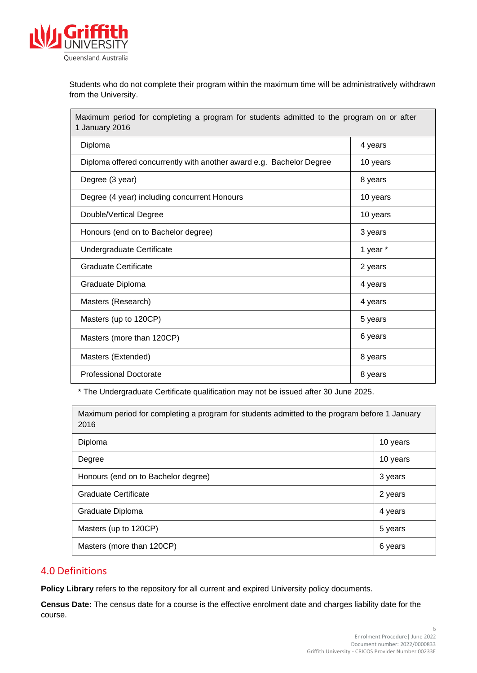

Students who do not complete their program within the maximum time will be administratively withdrawn from the University.

Maximum period for completing a program for students admitted to the program on or after 1 January 2016 Diploma 4 years Diploma offered concurrently with another award e.g. Bachelor Degree | 10 years Degree (3 year) 8 years 8 years 8 years 8 years 8 years 8 years 8 years 8 years 8 years 8 years 8 years 8 years 8 years 8 years 8 years 8 years 8 years 8 years 8 years 8 years 8 years 8 years 8 years 8 years 8 years 8 year Degree (4 year) including concurrent Honours 10 years 10 years Double/Vertical Degree 10 years 10 years 10 years 10 years 10 years 10 years 10 years 10 years 10 years 10 years 10 years 10 years 10 years 10 years 10 years 10 years 10 years 10 years 10 years 10 years 10 years 10 years 1 Honours (end on to Bachelor degree) 3 years 3 years Undergraduate Certificate 1 year \* 1 year \* 1 year \* Graduate Certificate 2 years 2 years 2 years 2 years 2 years 2 years 2 years 2 years 2 years 2 years 2 years 2 years 2 years 2 years 2 years 2 years 2 years 2 years 2 years 2 years 2 years 2 years 2 years 2 years 2 years 2 Graduate Diploma 4 years 2 years 2 years 2 years 2 years 2 years 2 years 2 years 2 years 2 years 2 years 2 years 2 years 2 years 2 years 2 years 2 years 2 years 2 years 2 years 2 years 2 years 2 years 2 years 2 years 2 yea Masters (Research) 4 years Masters (up to 120CP) 6 years 1.5 years 1.5 years 1.5 years 1.5 years 1.5 years 1.5 years 1.5 years 1.5 years 1.5 years 1.5 years 1.5 years 1.5 years 1.5 years 1.5 years 1.5 years 1.5 years 1.5 years 1.5 years 1.5 years 1. Masters (more than 120CP) 6 years Masters (Extended) 8 years Professional Doctorate 8 years 8 years 8 years 8 years 8 years 8 years 8 years 8 years 8 years 8 years 8 years 8 years 8 years 8 years 8 years 8 years 8 years 8 years 8 years 8 years 8 years 8 years 8 years 8 years 8 years

\* The Undergraduate Certificate qualification may not be issued after 30 June 2025.

| Maximum period for completing a program for students admitted to the program before 1 January<br>2016 |          |
|-------------------------------------------------------------------------------------------------------|----------|
| Diploma                                                                                               | 10 years |
| Degree                                                                                                | 10 years |
| Honours (end on to Bachelor degree)                                                                   | 3 years  |
| Graduate Certificate                                                                                  | 2 years  |
| Graduate Diploma                                                                                      | 4 years  |
| Masters (up to 120CP)                                                                                 | 5 years  |
| Masters (more than 120CP)                                                                             | 6 years  |

# <span id="page-5-0"></span>4.0 Definitions

**Policy Library** refers to the repository for all current and expired University policy documents.

**Census Date:** The census date for a course is the effective enrolment date and charges liability date for the course.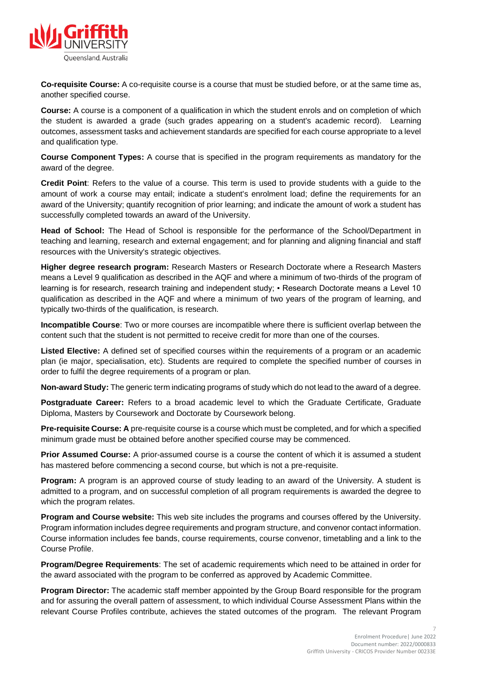

**Co-requisite Course:** A co-requisite course is a course that must be studied before, or at the same time as, another specified course.

**Course:** A course is a component of a qualification in which the student enrols and on completion of which the student is awarded a grade (such grades appearing on a student's academic record). Learning outcomes, assessment tasks and achievement standards are specified for each course appropriate to a level and qualification type.

**Course Component Types:** A course that is specified in the program requirements as mandatory for the award of the degree.

**Credit Point**: Refers to the value of a course. This term is used to provide students with a guide to the amount of work a course may entail; indicate a student's enrolment load; define the requirements for an award of the University; quantify recognition of prior learning; and indicate the amount of work a student has successfully completed towards an award of the University.

**Head of School:** The Head of School is responsible for the performance of the School/Department in teaching and learning, research and external engagement; and for planning and aligning financial and staff resources with the University's strategic objectives.

**Higher degree research program:** Research Masters or Research Doctorate where a Research Masters means a Level 9 qualification as described in the AQF and where a minimum of two-thirds of the program of learning is for research, research training and independent study; • Research Doctorate means a Level 10 qualification as described in the AQF and where a minimum of two years of the program of learning, and typically two-thirds of the qualification, is research.

**Incompatible Course**: Two or more courses are incompatible where there is sufficient overlap between the content such that the student is not permitted to receive credit for more than one of the courses.

**Listed Elective:** A defined set of specified courses within the requirements of a program or an academic plan (ie major, specialisation, etc). Students are required to complete the specified number of courses in order to fulfil the degree requirements of a program or plan.

**Non-award Study:** The generic term indicating programs of study which do not lead to the award of a degree.

**Postgraduate Career:** Refers to a broad academic level to which the Graduate Certificate, Graduate Diploma, Masters by Coursework and Doctorate by Coursework belong.

**Pre-requisite Course: A** pre-requisite course is a course which must be completed, and for which a specified minimum grade must be obtained before another specified course may be commenced.

**Prior Assumed Course:** A prior-assumed course is a course the content of which it is assumed a student has mastered before commencing a second course, but which is not a pre-requisite.

**Program:** A program is an approved course of study leading to an award of the University. A student is admitted to a program, and on successful completion of all program requirements is awarded the degree to which the program relates.

**Program and Course website:** This web site includes the programs and courses offered by the University. Program information includes degree requirements and program structure, and convenor contact information. Course information includes fee bands, course requirements, course convenor, timetabling and a link to the Course Profile.

**Program/Degree Requirements**: The set of academic requirements which need to be attained in order for the award associated with the program to be conferred as approved by Academic Committee.

**Program Director:** The academic staff member appointed by the Group Board responsible for the program and for assuring the overall pattern of assessment, to which individual Course Assessment Plans within the relevant Course Profiles contribute, achieves the stated outcomes of the program. The relevant Program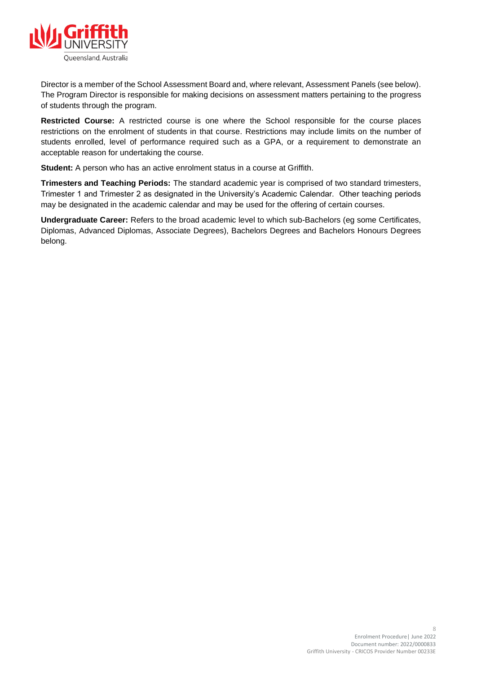

Director is a member of the School Assessment Board and, where relevant, Assessment Panels (see below). The Program Director is responsible for making decisions on assessment matters pertaining to the progress of students through the program.

**Restricted Course:** A restricted course is one where the School responsible for the course places restrictions on the enrolment of students in that course. Restrictions may include limits on the number of students enrolled, level of performance required such as a GPA, or a requirement to demonstrate an acceptable reason for undertaking the course.

**Student:** A person who has an active enrolment status in a course at Griffith.

**Trimesters and Teaching Periods:** The standard academic year is comprised of two standard trimesters, Trimester 1 and Trimester 2 as designated in the University's Academic Calendar. Other teaching periods may be designated in the academic calendar and may be used for the offering of certain courses.

**Undergraduate Career:** Refers to the broad academic level to which sub-Bachelors (eg some Certificates, Diplomas, Advanced Diplomas, Associate Degrees), Bachelors Degrees and Bachelors Honours Degrees belong.